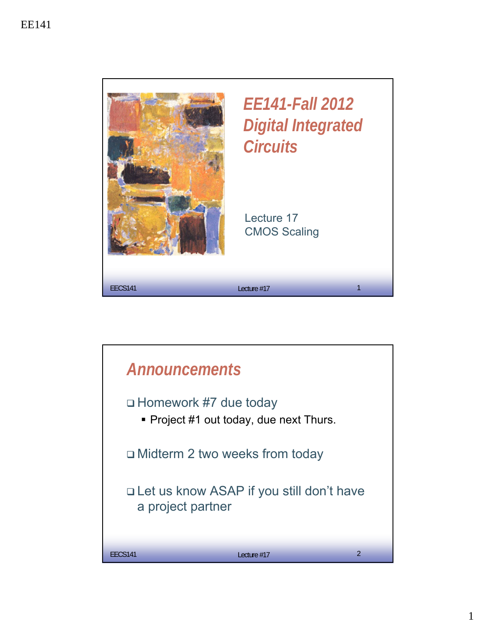

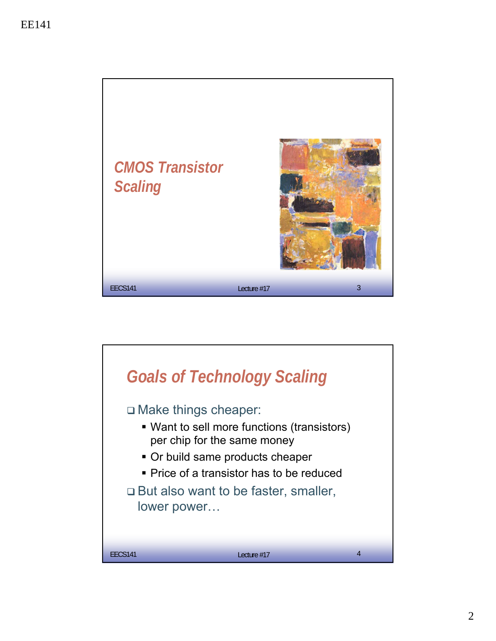

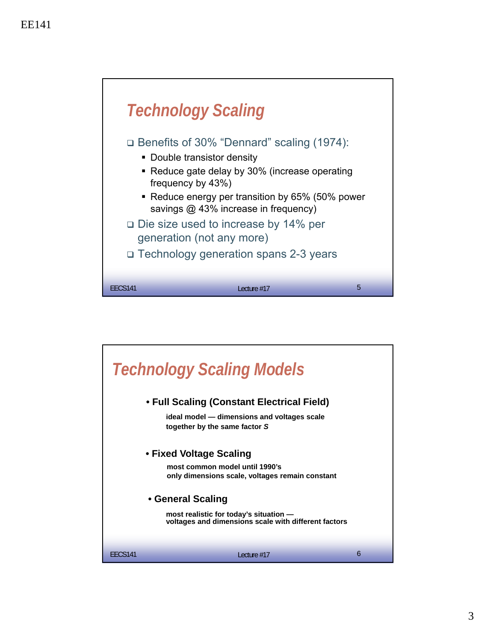

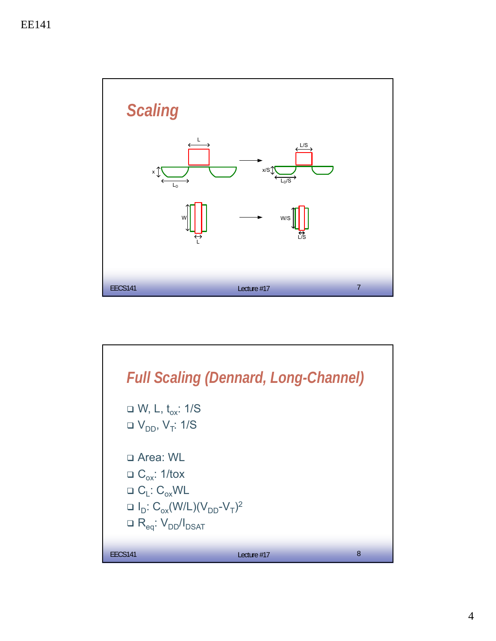

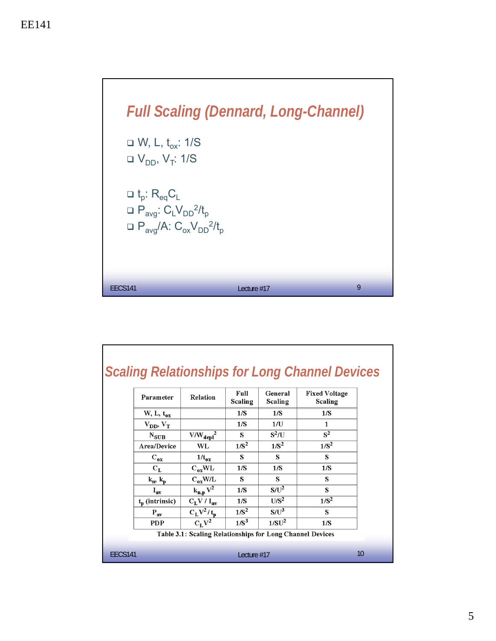

|         |                                                           |                       |                 |                    | <b>Scaling Relationships for Long Channel Devices</b> |  |  |  |  |
|---------|-----------------------------------------------------------|-----------------------|-----------------|--------------------|-------------------------------------------------------|--|--|--|--|
|         | Parameter                                                 | Relation              | Full<br>Scaling | General<br>Scaling | <b>Fixed Voltage</b><br>Scaling                       |  |  |  |  |
|         | W, L, $t_{ox}$                                            |                       | 1/S             | 1/S                | 1/S                                                   |  |  |  |  |
|         | $V_{DD}$ , $V_T$                                          |                       | 1/S             | 1/U                | 1                                                     |  |  |  |  |
|         | $N_{\rm SUB}$                                             | $V/W_{\text{depl}}^2$ | S               | $S^2/U$            | $S^2$                                                 |  |  |  |  |
|         | Area/Device                                               | WL                    | $1/S^2$         | $1/S^2$            | $1/S^2$                                               |  |  |  |  |
|         | $C_{ox}$                                                  | $1/t_{ox}$            | S               | s                  | s                                                     |  |  |  |  |
|         | $C_{L}$                                                   | $C_{ox} WL$           | 1/S             | 1/S                | 1/S                                                   |  |  |  |  |
|         | $k_p, k_p$                                                | $C_{ox}$ W/L          | s               | s                  | s                                                     |  |  |  |  |
|         | $I_{av}$                                                  | $k_{n,p}V^2$          | 1/S             | $S/U^2$            | S                                                     |  |  |  |  |
|         | $t_{\rm n}$ (intrinsic)                                   | $C_{L}V/I_{av}$       | 1/S             | $U/S^2$            | $1/S^2$                                               |  |  |  |  |
|         | $\mathbf{P}_{\mathbf{av}}$                                | $C_L V^2/t_p$         | $1/S^2$         | $S/U^3$            | S                                                     |  |  |  |  |
|         | <b>PDP</b>                                                | $\overline{C_I V^2}$  | $1/S^3$         | 1/SU <sup>2</sup>  | 1/S                                                   |  |  |  |  |
|         | Table 3.1: Scaling Relationships for Long Channel Devices |                       |                 |                    |                                                       |  |  |  |  |
| EECS141 | Lecture $#17$                                             |                       |                 |                    |                                                       |  |  |  |  |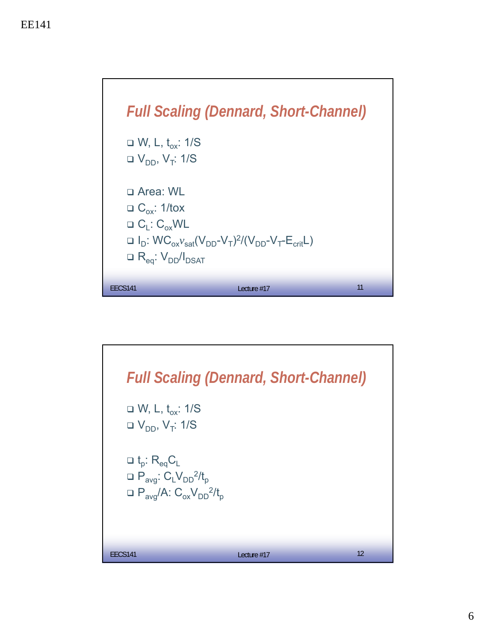

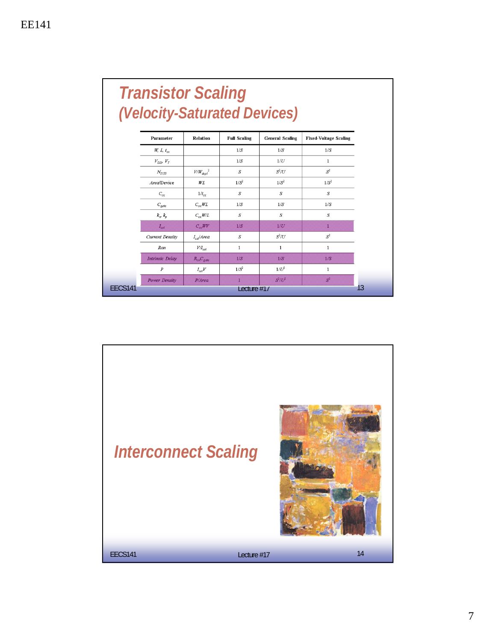|                | <b>Transistor Scaling</b><br>(Velocity-Saturated Devices) |                       |                     |                        |                              |    |  |  |
|----------------|-----------------------------------------------------------|-----------------------|---------------------|------------------------|------------------------------|----|--|--|
|                | Parameter                                                 | <b>Relation</b>       | <b>Full Scaling</b> | <b>General Scaling</b> | <b>Fixed-Voltage Scaling</b> |    |  |  |
|                | $W, L, t_{\alpha r}$                                      |                       | 1/S                 | 1/S                    | 1/S                          |    |  |  |
|                | $V_{DD}$ $V_T$                                            |                       | 1/S                 | 1/U                    | $\mathbf{1}$                 |    |  |  |
|                | $N_{SUB}$                                                 | $V\!/{W_{depl}}^2$    | $\boldsymbol{S}$    | $S^2/U$                | $S^2$                        |    |  |  |
|                | Area/Device                                               | W L                   | $1/S^2$             | $1/S^2$                | $1/S^2$                      |    |  |  |
|                | $C_{\alpha r}$                                            | $1/t_{cr}$            | $\boldsymbol{S}$    | S                      | $\boldsymbol{S}$             |    |  |  |
|                | $C_{gate}$                                                | $C_{\alpha x} W L$    | 1/S                 | 1/S                    | 1/S                          |    |  |  |
|                | $k_{\rm v}$ , $k_{\rm v}$                                 | $C_{\alpha\nu}W/L$    | S                   | S                      | S                            |    |  |  |
|                | $I_{sat}$                                                 | $C_{\infty}WV$        | 1/S                 | 1/U                    | т                            |    |  |  |
|                | <b>Current Density</b>                                    | $I_{\text{tot}}$ Area | $\boldsymbol{S}$    | $S^2/U$                | $S^2$                        |    |  |  |
|                | Ron                                                       | $V/I_{sat}$           | $\mathbf{1}$        | $\mathbf{1}$           | 1                            |    |  |  |
|                | <b>Intrinsic Delay</b>                                    | $R_{on}C_{gate}$      | 1/S                 | 1/S                    | 1/S                          |    |  |  |
|                | $\boldsymbol{P}$                                          | $I_{sat}V$            | $1/S^2$             | $1/U^2$                | 1                            |    |  |  |
|                | Power Density                                             | P/Area                | T                   | $S^2/U^2$              | $S^2$                        | 13 |  |  |
| <b>EECS141</b> | Lecture $#1/$                                             |                       |                     |                        |                              |    |  |  |

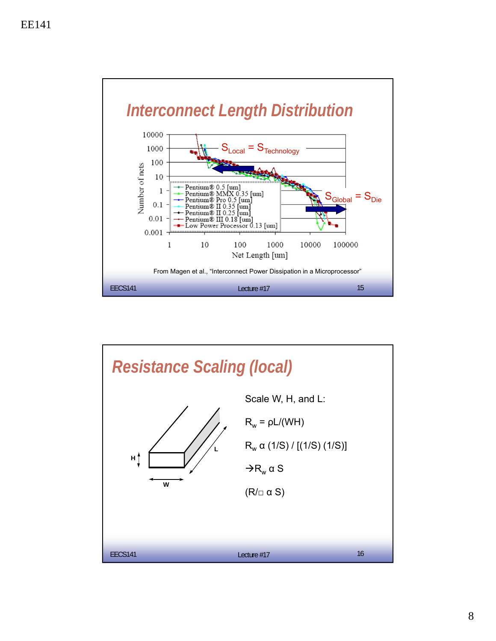

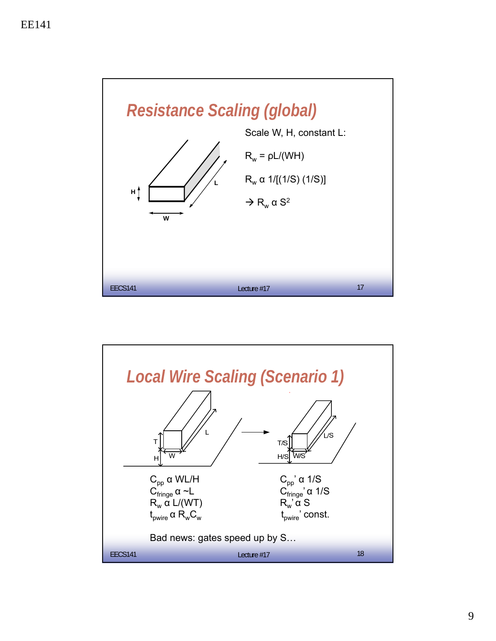

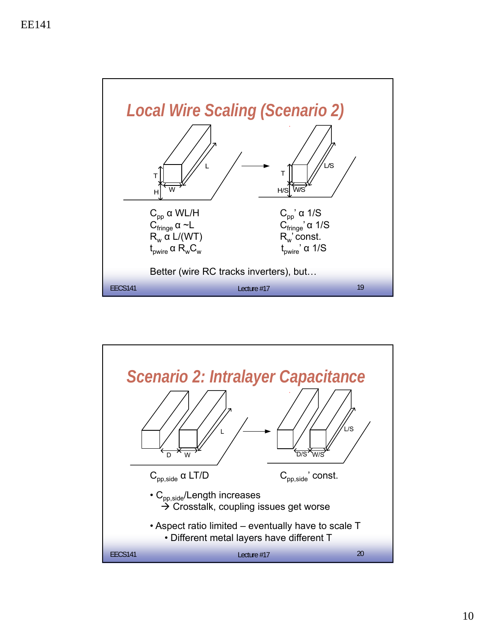

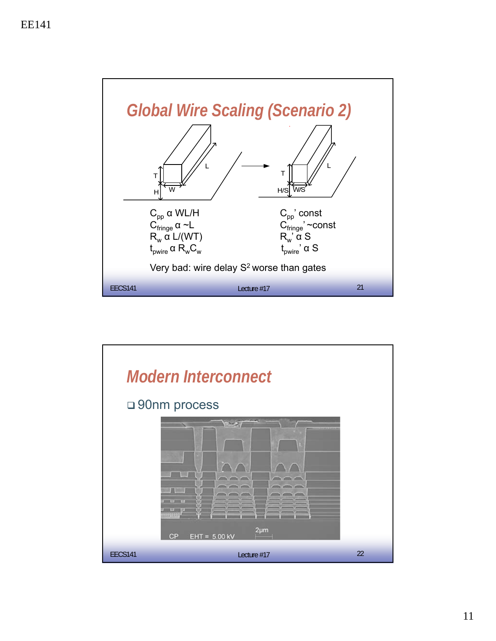